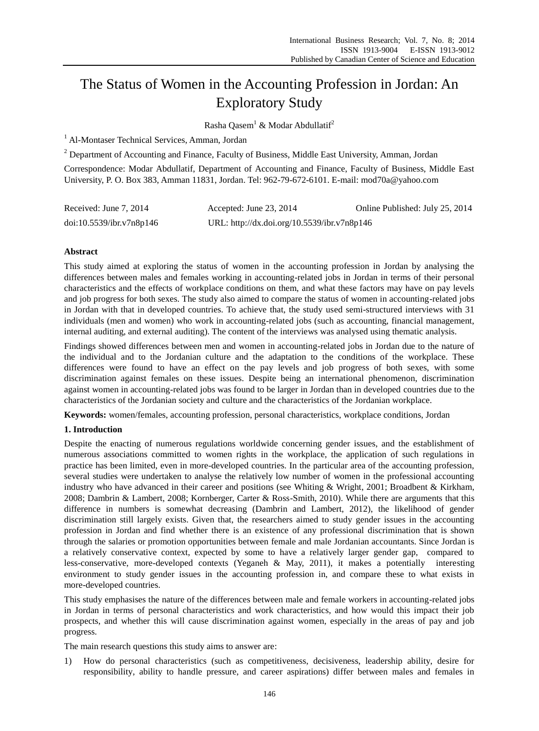# The Status of Women in the Accounting Profession in Jordan: An Exploratory Study

Rasha Qasem<sup>1</sup> & Modar Abdullatif<sup>2</sup>

<sup>1</sup> Al-Montaser Technical Services, Amman, Jordan

<sup>2</sup> Department of Accounting and Finance, Faculty of Business, Middle East University, Amman, Jordan

Correspondence: Modar Abdullatif, Department of Accounting and Finance, Faculty of Business, Middle East University, P. O. Box 383, Amman 11831, Jordan. Tel: 962-79-672-6101. E-mail: mod70a@yahoo.com

| Received: June 7, 2014   | Accepted: June 23, 2014                     | Online Published: July 25, 2014 |
|--------------------------|---------------------------------------------|---------------------------------|
| doi:10.5539/ibr.v7n8p146 | URL: http://dx.doi.org/10.5539/ibr.v7n8p146 |                                 |

# **Abstract**

This study aimed at exploring the status of women in the accounting profession in Jordan by analysing the differences between males and females working in accounting-related jobs in Jordan in terms of their personal characteristics and the effects of workplace conditions on them, and what these factors may have on pay levels and job progress for both sexes. The study also aimed to compare the status of women in accounting-related jobs in Jordan with that in developed countries. To achieve that, the study used semi-structured interviews with 31 individuals (men and women) who work in accounting-related jobs (such as accounting, financial management, internal auditing, and external auditing). The content of the interviews was analysed using thematic analysis.

Findings showed differences between men and women in accounting-related jobs in Jordan due to the nature of the individual and to the Jordanian culture and the adaptation to the conditions of the workplace. These differences were found to have an effect on the pay levels and job progress of both sexes, with some discrimination against females on these issues. Despite being an international phenomenon, discrimination against women in accounting-related jobs was found to be larger in Jordan than in developed countries due to the characteristics of the Jordanian society and culture and the characteristics of the Jordanian workplace.

**Keywords:** women/females, accounting profession, personal characteristics, workplace conditions, Jordan

## **1. Introduction**

Despite the enacting of numerous regulations worldwide concerning gender issues, and the establishment of numerous associations committed to women rights in the workplace, the application of such regulations in practice has been limited, even in more-developed countries. In the particular area of the accounting profession, several studies were undertaken to analyse the relatively low number of women in the professional accounting industry who have advanced in their career and positions (see Whiting & Wright, 2001; Broadbent & Kirkham, 2008; Dambrin & Lambert, 2008; Kornberger, Carter & Ross-Smith, 2010). While there are arguments that this difference in numbers is somewhat decreasing (Dambrin and Lambert, 2012), the likelihood of gender discrimination still largely exists. Given that, the researchers aimed to study gender issues in the accounting profession in Jordan and find whether there is an existence of any professional discrimination that is shown through the salaries or promotion opportunities between female and male Jordanian accountants. Since Jordan is a relatively conservative context, expected by some to have a relatively larger gender gap, compared to less-conservative, more-developed contexts (Yeganeh & May, 2011), it makes a potentially interesting environment to study gender issues in the accounting profession in, and compare these to what exists in more-developed countries.

This study emphasises the nature of the differences between male and female workers in accounting-related jobs in Jordan in terms of personal characteristics and work characteristics, and how would this impact their job prospects, and whether this will cause discrimination against women, especially in the areas of pay and job progress.

The main research questions this study aims to answer are:

1) How do personal characteristics (such as competitiveness, decisiveness, leadership ability, desire for responsibility, ability to handle pressure, and career aspirations) differ between males and females in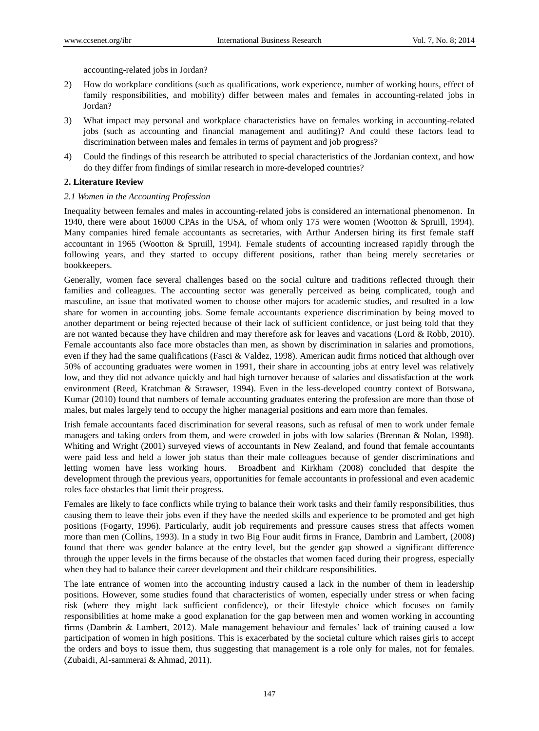accounting-related jobs in Jordan?

- 2) How do workplace conditions (such as qualifications, work experience, number of working hours, effect of family responsibilities, and mobility) differ between males and females in accounting-related jobs in Jordan?
- 3) What impact may personal and workplace characteristics have on females working in accounting-related jobs (such as accounting and financial management and auditing)? And could these factors lead to discrimination between males and females in terms of payment and job progress?
- 4) Could the findings of this research be attributed to special characteristics of the Jordanian context, and how do they differ from findings of similar research in more-developed countries?

# **2. Literature Review**

## *2.1 Women in the Accounting Profession*

Inequality between females and males in accounting-related jobs is considered an international phenomenon. In 1940, there were about 16000 CPAs in the USA, of whom only 175 were women (Wootton & Spruill, 1994). Many companies hired female accountants as secretaries, with Arthur Andersen hiring its first female staff accountant in 1965 (Wootton & Spruill, 1994). Female students of accounting increased rapidly through the following years, and they started to occupy different positions, rather than being merely secretaries or bookkeepers.

Generally, women face several challenges based on the social culture and traditions reflected through their families and colleagues. The accounting sector was generally perceived as being complicated, tough and masculine, an issue that motivated women to choose other majors for academic studies, and resulted in a low share for women in accounting jobs. Some female accountants experience discrimination by being moved to another department or being rejected because of their lack of sufficient confidence, or just being told that they are not wanted because they have children and may therefore ask for leaves and vacations (Lord & Robb, 2010). Female accountants also face more obstacles than men, as shown by discrimination in salaries and promotions, even if they had the same qualifications (Fasci & Valdez, 1998). American audit firms noticed that although over 50% of accounting graduates were women in 1991, their share in accounting jobs at entry level was relatively low, and they did not advance quickly and had high turnover because of salaries and dissatisfaction at the work environment (Reed, Kratchman & Strawser, 1994). Even in the less-developed country context of Botswana, Kumar (2010) found that numbers of female accounting graduates entering the profession are more than those of males, but males largely tend to occupy the higher managerial positions and earn more than females.

Irish female accountants faced discrimination for several reasons, such as refusal of men to work under female managers and taking orders from them, and were crowded in jobs with low salaries (Brennan & Nolan, 1998). Whiting and Wright (2001) surveyed views of accountants in New Zealand, and found that female accountants were paid less and held a lower job status than their male colleagues because of gender discriminations and letting women have less working hours. Broadbent and Kirkham (2008) concluded that despite the development through the previous years, opportunities for female accountants in professional and even academic roles face obstacles that limit their progress.

Females are likely to face conflicts while trying to balance their work tasks and their family responsibilities, thus causing them to leave their jobs even if they have the needed skills and experience to be promoted and get high positions (Fogarty, 1996). Particularly, audit job requirements and pressure causes stress that affects women more than men (Collins, 1993). In a study in two Big Four audit firms in France, Dambrin and Lambert, (2008) found that there was gender balance at the entry level, but the gender gap showed a significant difference through the upper levels in the firms because of the obstacles that women faced during their progress, especially when they had to balance their career development and their childcare responsibilities.

The late entrance of women into the accounting industry caused a lack in the number of them in leadership positions. However, some studies found that characteristics of women, especially under stress or when facing risk (where they might lack sufficient confidence), or their lifestyle choice which focuses on family responsibilities at home make a good explanation for the gap between men and women working in accounting firms (Dambrin & Lambert, 2012). Male management behaviour and females' lack of training caused a low participation of women in high positions. This is exacerbated by the societal culture which raises girls to accept the orders and boys to issue them, thus suggesting that management is a role only for males, not for females. (Zubaidi, Al-sammerai & Ahmad, 2011).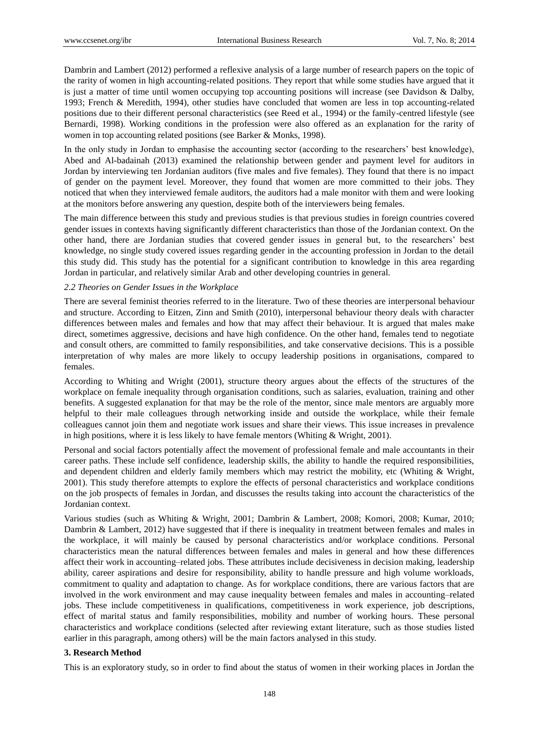Dambrin and Lambert (2012) performed a reflexive analysis of a large number of research papers on the topic of the rarity of women in high accounting-related positions. They report that while some studies have argued that it is just a matter of time until women occupying top accounting positions will increase (see Davidson & Dalby, 1993; French & Meredith, 1994), other studies have concluded that women are less in top accounting-related positions due to their different personal characteristics (see Reed et al., 1994) or the family-centred lifestyle (see Bernardi, 1998). Working conditions in the profession were also offered as an explanation for the rarity of women in top accounting related positions (see Barker & Monks, 1998).

In the only study in Jordan to emphasise the accounting sector (according to the researchers' best knowledge), Abed and Al-badainah (2013) examined the relationship between gender and payment level for auditors in Jordan by interviewing ten Jordanian auditors (five males and five females). They found that there is no impact of gender on the payment level. Moreover, they found that women are more committed to their jobs. They noticed that when they interviewed female auditors, the auditors had a male monitor with them and were looking at the monitors before answering any question, despite both of the interviewers being females.

The main difference between this study and previous studies is that previous studies in foreign countries covered gender issues in contexts having significantly different characteristics than those of the Jordanian context. On the other hand, there are Jordanian studies that covered gender issues in general but, to the researchers' best knowledge, no single study covered issues regarding gender in the accounting profession in Jordan to the detail this study did. This study has the potential for a significant contribution to knowledge in this area regarding Jordan in particular, and relatively similar Arab and other developing countries in general.

#### *2.2 Theories on Gender Issues in the Workplace*

There are several feminist theories referred to in the literature. Two of these theories are interpersonal behaviour and structure. According to Eitzen, Zinn and Smith (2010), interpersonal behaviour theory deals with character differences between males and females and how that may affect their behaviour. It is argued that males make direct, sometimes aggressive, decisions and have high confidence. On the other hand, females tend to negotiate and consult others, are committed to family responsibilities, and take conservative decisions. This is a possible interpretation of why males are more likely to occupy leadership positions in organisations, compared to females.

According to Whiting and Wright (2001), structure theory argues about the effects of the structures of the workplace on female inequality through organisation conditions, such as salaries, evaluation, training and other benefits. A suggested explanation for that may be the role of the mentor, since male mentors are arguably more helpful to their male colleagues through networking inside and outside the workplace, while their female colleagues cannot join them and negotiate work issues and share their views. This issue increases in prevalence in high positions, where it is less likely to have female mentors (Whiting & Wright, 2001).

Personal and social factors potentially affect the movement of professional female and male accountants in their career paths. These include self confidence, leadership skills, the ability to handle the required responsibilities, and dependent children and elderly family members which may restrict the mobility, etc (Whiting & Wright, 2001). This study therefore attempts to explore the effects of personal characteristics and workplace conditions on the job prospects of females in Jordan, and discusses the results taking into account the characteristics of the Jordanian context.

Various studies (such as Whiting & Wright, 2001; Dambrin & Lambert, 2008; Komori, 2008; Kumar, 2010; Dambrin & Lambert, 2012) have suggested that if there is inequality in treatment between females and males in the workplace, it will mainly be caused by personal characteristics and/or workplace conditions. Personal characteristics mean the natural differences between females and males in general and how these differences affect their work in accounting–related jobs. These attributes include decisiveness in decision making, leadership ability, career aspirations and desire for responsibility, ability to handle pressure and high volume workloads, commitment to quality and adaptation to change. As for workplace conditions, there are various factors that are involved in the work environment and may cause inequality between females and males in accounting–related jobs. These include competitiveness in qualifications, competitiveness in work experience, job descriptions, effect of marital status and family responsibilities, mobility and number of working hours. These personal characteristics and workplace conditions (selected after reviewing extant literature, such as those studies listed earlier in this paragraph, among others) will be the main factors analysed in this study.

#### **3. Research Method**

This is an exploratory study, so in order to find about the status of women in their working places in Jordan the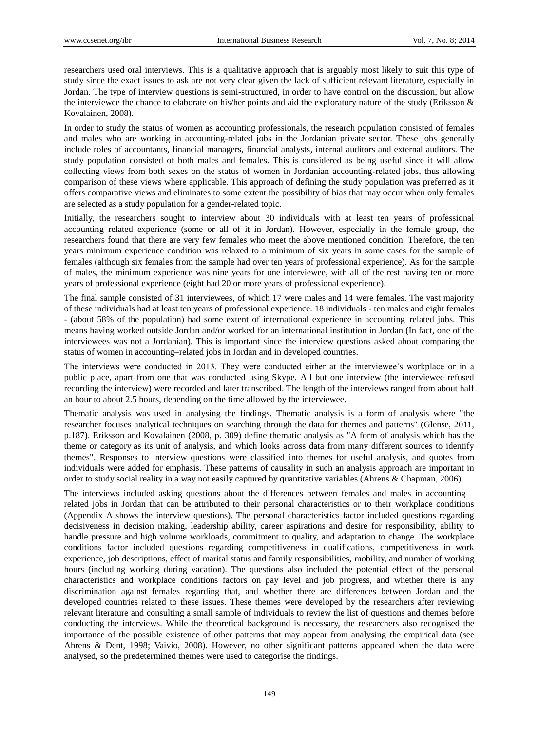researchers used oral interviews. This is a qualitative approach that is arguably most likely to suit this type of study since the exact issues to ask are not very clear given the lack of sufficient relevant literature, especially in Jordan. The type of interview questions is semi-structured, in order to have control on the discussion, but allow the interviewee the chance to elaborate on his/her points and aid the exploratory nature of the study (Eriksson & Kovalainen, 2008).

In order to study the status of women as accounting professionals, the research population consisted of females and males who are working in accounting-related jobs in the Jordanian private sector. These jobs generally include roles of accountants, financial managers, financial analysts, internal auditors and external auditors. The study population consisted of both males and females. This is considered as being useful since it will allow collecting views from both sexes on the status of women in Jordanian accounting-related jobs, thus allowing comparison of these views where applicable. This approach of defining the study population was preferred as it offers comparative views and eliminates to some extent the possibility of bias that may occur when only females are selected as a study population for a gender-related topic.

Initially, the researchers sought to interview about 30 individuals with at least ten years of professional accounting–related experience (some or all of it in Jordan). However, especially in the female group, the researchers found that there are very few females who meet the above mentioned condition. Therefore, the ten years minimum experience condition was relaxed to a minimum of six years in some cases for the sample of females (although six females from the sample had over ten years of professional experience). As for the sample of males, the minimum experience was nine years for one interviewee, with all of the rest having ten or more years of professional experience (eight had 20 or more years of professional experience).

The final sample consisted of 31 interviewees, of which 17 were males and 14 were females. The vast majority of these individuals had at least ten years of professional experience. 18 individuals - ten males and eight females - (about 58% of the population) had some extent of international experience in accounting–related jobs. This means having worked outside Jordan and/or worked for an international institution in Jordan (In fact, one of the interviewees was not a Jordanian). This is important since the interview questions asked about comparing the status of women in accounting–related jobs in Jordan and in developed countries.

The interviews were conducted in 2013. They were conducted either at the interviewee's workplace or in a public place, apart from one that was conducted using Skype. All but one interview (the interviewee refused recording the interview) were recorded and later transcribed. The length of the interviews ranged from about half an hour to about 2.5 hours, depending on the time allowed by the interviewee.

Thematic analysis was used in analysing the findings. Thematic analysis is a form of analysis where "the researcher focuses analytical techniques on searching through the data for themes and patterns" (Glense, 2011, p.187). Eriksson and Kovalainen (2008, p. 309) define thematic analysis as "A form of analysis which has the theme or category as its unit of analysis, and which looks across data from many different sources to identify themes". Responses to interview questions were classified into themes for useful analysis, and quotes from individuals were added for emphasis. These patterns of causality in such an analysis approach are important in order to study social reality in a way not easily captured by quantitative variables (Ahrens & Chapman, 2006).

The interviews included asking questions about the differences between females and males in accounting – related jobs in Jordan that can be attributed to their personal characteristics or to their workplace conditions (Appendix A shows the interview questions). The personal characteristics factor included questions regarding decisiveness in decision making, leadership ability, career aspirations and desire for responsibility, ability to handle pressure and high volume workloads, commitment to quality, and adaptation to change. The workplace conditions factor included questions regarding competitiveness in qualifications, competitiveness in work experience, job descriptions, effect of marital status and family responsibilities, mobility, and number of working hours (including working during vacation). The questions also included the potential effect of the personal characteristics and workplace conditions factors on pay level and job progress, and whether there is any discrimination against females regarding that, and whether there are differences between Jordan and the developed countries related to these issues. These themes were developed by the researchers after reviewing relevant literature and consulting a small sample of individuals to review the list of questions and themes before conducting the interviews. While the theoretical background is necessary, the researchers also recognised the importance of the possible existence of other patterns that may appear from analysing the empirical data (see Ahrens & Dent, 1998; Vaivio, 2008). However, no other significant patterns appeared when the data were analysed, so the predetermined themes were used to categorise the findings.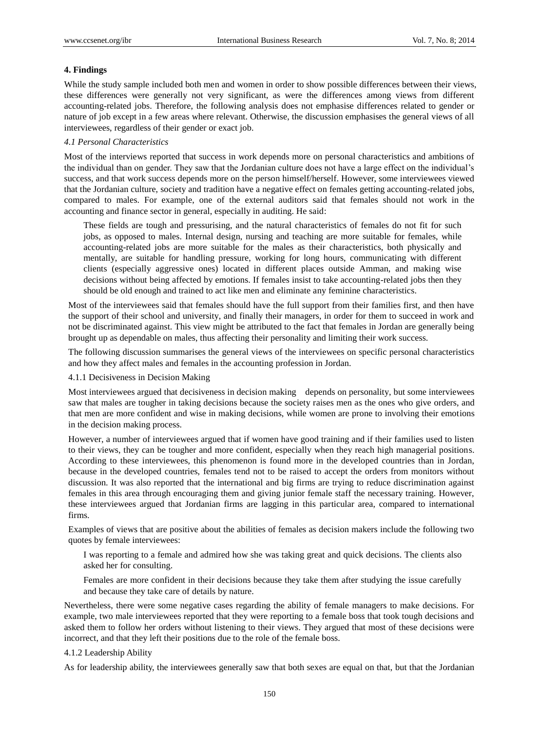#### **4. Findings**

While the study sample included both men and women in order to show possible differences between their views, these differences were generally not very significant, as were the differences among views from different accounting-related jobs. Therefore, the following analysis does not emphasise differences related to gender or nature of job except in a few areas where relevant. Otherwise, the discussion emphasises the general views of all interviewees, regardless of their gender or exact job.

## *4.1 Personal Characteristics*

Most of the interviews reported that success in work depends more on personal characteristics and ambitions of the individual than on gender. They saw that the Jordanian culture does not have a large effect on the individual's success, and that work success depends more on the person himself/herself. However, some interviewees viewed that the Jordanian culture, society and tradition have a negative effect on females getting accounting-related jobs, compared to males. For example, one of the external auditors said that females should not work in the accounting and finance sector in general, especially in auditing. He said:

These fields are tough and pressurising, and the natural characteristics of females do not fit for such jobs, as opposed to males. Internal design, nursing and teaching are more suitable for females, while accounting-related jobs are more suitable for the males as their characteristics, both physically and mentally, are suitable for handling pressure, working for long hours, communicating with different clients (especially aggressive ones) located in different places outside Amman, and making wise decisions without being affected by emotions. If females insist to take accounting-related jobs then they should be old enough and trained to act like men and eliminate any feminine characteristics.

Most of the interviewees said that females should have the full support from their families first, and then have the support of their school and university, and finally their managers, in order for them to succeed in work and not be discriminated against. This view might be attributed to the fact that females in Jordan are generally being brought up as dependable on males, thus affecting their personality and limiting their work success.

The following discussion summarises the general views of the interviewees on specific personal characteristics and how they affect males and females in the accounting profession in Jordan.

#### 4.1.1 Decisiveness in Decision Making

Most interviewees argued that decisiveness in decision making depends on personality, but some interviewees saw that males are tougher in taking decisions because the society raises men as the ones who give orders, and that men are more confident and wise in making decisions, while women are prone to involving their emotions in the decision making process.

However, a number of interviewees argued that if women have good training and if their families used to listen to their views, they can be tougher and more confident, especially when they reach high managerial positions. According to these interviewees, this phenomenon is found more in the developed countries than in Jordan, because in the developed countries, females tend not to be raised to accept the orders from monitors without discussion. It was also reported that the international and big firms are trying to reduce discrimination against females in this area through encouraging them and giving junior female staff the necessary training. However, these interviewees argued that Jordanian firms are lagging in this particular area, compared to international firms.

Examples of views that are positive about the abilities of females as decision makers include the following two quotes by female interviewees:

I was reporting to a female and admired how she was taking great and quick decisions. The clients also asked her for consulting.

Females are more confident in their decisions because they take them after studying the issue carefully and because they take care of details by nature.

Nevertheless, there were some negative cases regarding the ability of female managers to make decisions. For example, two male interviewees reported that they were reporting to a female boss that took tough decisions and asked them to follow her orders without listening to their views. They argued that most of these decisions were incorrect, and that they left their positions due to the role of the female boss.

## 4.1.2 Leadership Ability

As for leadership ability, the interviewees generally saw that both sexes are equal on that, but that the Jordanian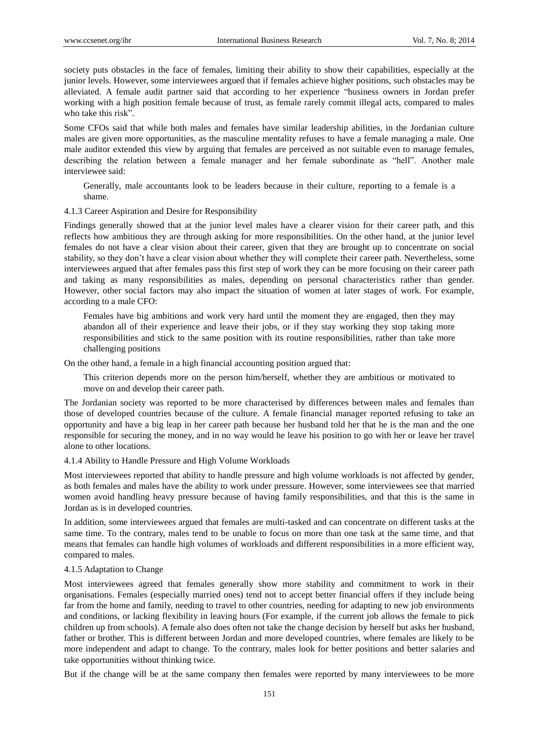society puts obstacles in the face of females, limiting their ability to show their capabilities, especially at the junior levels. However, some interviewees argued that if females achieve higher positions, such obstacles may be alleviated. A female audit partner said that according to her experience "business owners in Jordan prefer working with a high position female because of trust, as female rarely commit illegal acts, compared to males who take this risk".

Some CFOs said that while both males and females have similar leadership abilities, in the Jordanian culture males are given more opportunities, as the masculine mentality refuses to have a female managing a male. One male auditor extended this view by arguing that females are perceived as not suitable even to manage females, describing the relation between a female manager and her female subordinate as "hell". Another male interviewee said:

Generally, male accountants look to be leaders because in their culture, reporting to a female is a shame.

#### 4.1.3 Career Aspiration and Desire for Responsibility

Findings generally showed that at the junior level males have a clearer vision for their career path, and this reflects how ambitious they are through asking for more responsibilities. On the other hand, at the junior level females do not have a clear vision about their career, given that they are brought up to concentrate on social stability, so they don't have a clear vision about whether they will complete their career path. Nevertheless, some interviewees argued that after females pass this first step of work they can be more focusing on their career path and taking as many responsibilities as males, depending on personal characteristics rather than gender. However, other social factors may also impact the situation of women at later stages of work. For example, according to a male CFO:

Females have big ambitions and work very hard until the moment they are engaged, then they may abandon all of their experience and leave their jobs, or if they stay working they stop taking more responsibilities and stick to the same position with its routine responsibilities, rather than take more challenging positions

On the other hand, a female in a high financial accounting position argued that:

This criterion depends more on the person him/herself, whether they are ambitious or motivated to move on and develop their career path.

The Jordanian society was reported to be more characterised by differences between males and females than those of developed countries because of the culture. A female financial manager reported refusing to take an opportunity and have a big leap in her career path because her husband told her that he is the man and the one responsible for securing the money, and in no way would he leave his position to go with her or leave her travel alone to other locations.

#### 4.1.4 Ability to Handle Pressure and High Volume Workloads

Most interviewees reported that ability to handle pressure and high volume workloads is not affected by gender, as both females and males have the ability to work under pressure. However, some interviewees see that married women avoid handling heavy pressure because of having family responsibilities, and that this is the same in Jordan as is in developed countries.

In addition, some interviewees argued that females are multi-tasked and can concentrate on different tasks at the same time. To the contrary, males tend to be unable to focus on more than one task at the same time, and that means that females can handle high volumes of workloads and different responsibilities in a more efficient way, compared to males.

#### 4.1.5 Adaptation to Change

Most interviewees agreed that females generally show more stability and commitment to work in their organisations. Females (especially married ones) tend not to accept better financial offers if they include being far from the home and family, needing to travel to other countries, needing for adapting to new job environments and conditions, or lacking flexibility in leaving hours (For example, if the current job allows the female to pick children up from schools). A female also does often not take the change decision by herself but asks her husband, father or brother. This is different between Jordan and more developed countries, where females are likely to be more independent and adapt to change. To the contrary, males look for better positions and better salaries and take opportunities without thinking twice.

But if the change will be at the same company then females were reported by many interviewees to be more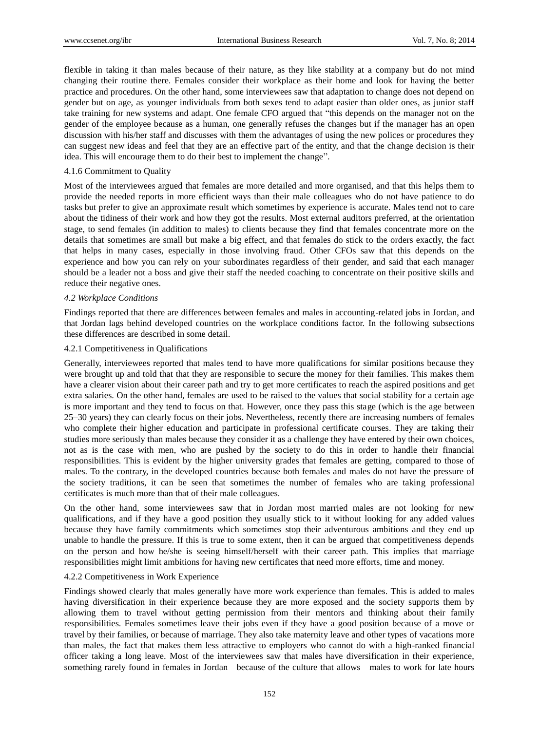flexible in taking it than males because of their nature, as they like stability at a company but do not mind changing their routine there. Females consider their workplace as their home and look for having the better practice and procedures. On the other hand, some interviewees saw that adaptation to change does not depend on gender but on age, as younger individuals from both sexes tend to adapt easier than older ones, as junior staff take training for new systems and adapt. One female CFO argued that "this depends on the manager not on the gender of the employee because as a human, one generally refuses the changes but if the manager has an open discussion with his/her staff and discusses with them the advantages of using the new polices or procedures they can suggest new ideas and feel that they are an effective part of the entity, and that the change decision is their idea. This will encourage them to do their best to implement the change".

#### 4.1.6 Commitment to Quality

Most of the interviewees argued that females are more detailed and more organised, and that this helps them to provide the needed reports in more efficient ways than their male colleagues who do not have patience to do tasks but prefer to give an approximate result which sometimes by experience is accurate. Males tend not to care about the tidiness of their work and how they got the results. Most external auditors preferred, at the orientation stage, to send females (in addition to males) to clients because they find that females concentrate more on the details that sometimes are small but make a big effect, and that females do stick to the orders exactly, the fact that helps in many cases, especially in those involving fraud. Other CFOs saw that this depends on the experience and how you can rely on your subordinates regardless of their gender, and said that each manager should be a leader not a boss and give their staff the needed coaching to concentrate on their positive skills and reduce their negative ones.

#### *4.2 Workplace Conditions*

Findings reported that there are differences between females and males in accounting-related jobs in Jordan, and that Jordan lags behind developed countries on the workplace conditions factor. In the following subsections these differences are described in some detail.

#### 4.2.1 Competitiveness in Qualifications

Generally, interviewees reported that males tend to have more qualifications for similar positions because they were brought up and told that that they are responsible to secure the money for their families. This makes them have a clearer vision about their career path and try to get more certificates to reach the aspired positions and get extra salaries. On the other hand, females are used to be raised to the values that social stability for a certain age is more important and they tend to focus on that. However, once they pass this stage (which is the age between 25–30 years) they can clearly focus on their jobs. Nevertheless, recently there are increasing numbers of females who complete their higher education and participate in professional certificate courses. They are taking their studies more seriously than males because they consider it as a challenge they have entered by their own choices, not as is the case with men, who are pushed by the society to do this in order to handle their financial responsibilities. This is evident by the higher university grades that females are getting, compared to those of males. To the contrary, in the developed countries because both females and males do not have the pressure of the society traditions, it can be seen that sometimes the number of females who are taking professional certificates is much more than that of their male colleagues.

On the other hand, some interviewees saw that in Jordan most married males are not looking for new qualifications, and if they have a good position they usually stick to it without looking for any added values because they have family commitments which sometimes stop their adventurous ambitions and they end up unable to handle the pressure. If this is true to some extent, then it can be argued that competitiveness depends on the person and how he/she is seeing himself/herself with their career path. This implies that marriage responsibilities might limit ambitions for having new certificates that need more efforts, time and money.

#### 4.2.2 Competitiveness in Work Experience

Findings showed clearly that males generally have more work experience than females. This is added to males having diversification in their experience because they are more exposed and the society supports them by allowing them to travel without getting permission from their mentors and thinking about their family responsibilities. Females sometimes leave their jobs even if they have a good position because of a move or travel by their families, or because of marriage. They also take maternity leave and other types of vacations more than males, the fact that makes them less attractive to employers who cannot do with a high-ranked financial officer taking a long leave. Most of the interviewees saw that males have diversification in their experience, something rarely found in females in Jordan because of the culture that allows males to work for late hours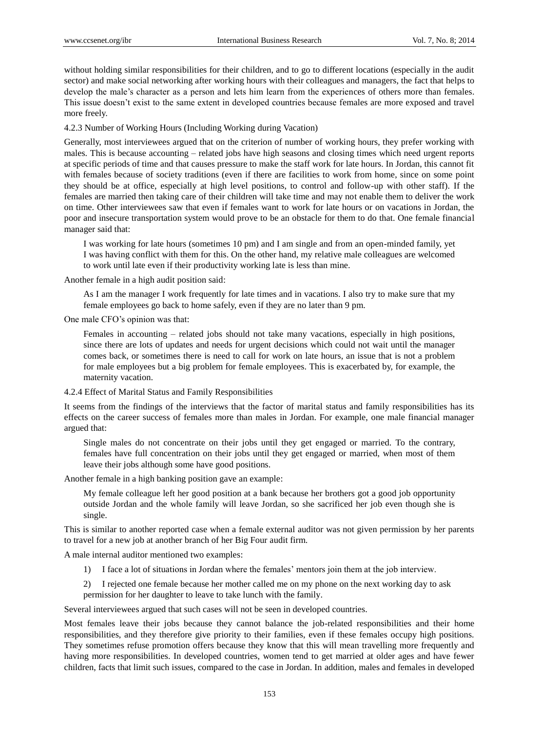without holding similar responsibilities for their children, and to go to different locations (especially in the audit sector) and make social networking after working hours with their colleagues and managers, the fact that helps to develop the male's character as a person and lets him learn from the experiences of others more than females. This issue doesn't exist to the same extent in developed countries because females are more exposed and travel more freely.

4.2.3 Number of Working Hours (Including Working during Vacation)

Generally, most interviewees argued that on the criterion of number of working hours, they prefer working with males. This is because accounting – related jobs have high seasons and closing times which need urgent reports at specific periods of time and that causes pressure to make the staff work for late hours. In Jordan, this cannot fit with females because of society traditions (even if there are facilities to work from home, since on some point they should be at office, especially at high level positions, to control and follow-up with other staff). If the females are married then taking care of their children will take time and may not enable them to deliver the work on time. Other interviewees saw that even if females want to work for late hours or on vacations in Jordan, the poor and insecure transportation system would prove to be an obstacle for them to do that. One female financial manager said that:

I was working for late hours (sometimes 10 pm) and I am single and from an open-minded family, yet I was having conflict with them for this. On the other hand, my relative male colleagues are welcomed to work until late even if their productivity working late is less than mine.

Another female in a high audit position said:

As I am the manager I work frequently for late times and in vacations. I also try to make sure that my female employees go back to home safely, even if they are no later than 9 pm.

One male CFO's opinion was that:

Females in accounting – related jobs should not take many vacations, especially in high positions, since there are lots of updates and needs for urgent decisions which could not wait until the manager comes back, or sometimes there is need to call for work on late hours, an issue that is not a problem for male employees but a big problem for female employees. This is exacerbated by, for example, the maternity vacation.

4.2.4 Effect of Marital Status and Family Responsibilities

It seems from the findings of the interviews that the factor of marital status and family responsibilities has its effects on the career success of females more than males in Jordan. For example, one male financial manager argued that:

Single males do not concentrate on their jobs until they get engaged or married. To the contrary, females have full concentration on their jobs until they get engaged or married, when most of them leave their jobs although some have good positions.

Another female in a high banking position gave an example:

My female colleague left her good position at a bank because her brothers got a good job opportunity outside Jordan and the whole family will leave Jordan, so she sacrificed her job even though she is single.

This is similar to another reported case when a female external auditor was not given permission by her parents to travel for a new job at another branch of her Big Four audit firm.

A male internal auditor mentioned two examples:

1) I face a lot of situations in Jordan where the females' mentors join them at the job interview.

2) I rejected one female because her mother called me on my phone on the next working day to ask permission for her daughter to leave to take lunch with the family.

Several interviewees argued that such cases will not be seen in developed countries.

Most females leave their jobs because they cannot balance the job-related responsibilities and their home responsibilities, and they therefore give priority to their families, even if these females occupy high positions. They sometimes refuse promotion offers because they know that this will mean travelling more frequently and having more responsibilities. In developed countries, women tend to get married at older ages and have fewer children, facts that limit such issues, compared to the case in Jordan. In addition, males and females in developed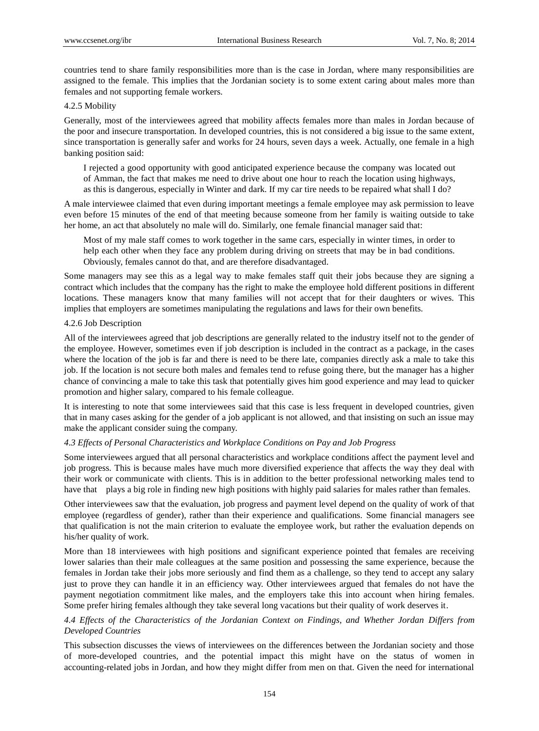countries tend to share family responsibilities more than is the case in Jordan, where many responsibilities are assigned to the female. This implies that the Jordanian society is to some extent caring about males more than females and not supporting female workers.

## 4.2.5 Mobility

Generally, most of the interviewees agreed that mobility affects females more than males in Jordan because of the poor and insecure transportation. In developed countries, this is not considered a big issue to the same extent, since transportation is generally safer and works for 24 hours, seven days a week. Actually, one female in a high banking position said:

I rejected a good opportunity with good anticipated experience because the company was located out of Amman, the fact that makes me need to drive about one hour to reach the location using highways, as this is dangerous, especially in Winter and dark. If my car tire needs to be repaired what shall I do?

A male interviewee claimed that even during important meetings a female employee may ask permission to leave even before 15 minutes of the end of that meeting because someone from her family is waiting outside to take her home, an act that absolutely no male will do. Similarly, one female financial manager said that:

Most of my male staff comes to work together in the same cars, especially in winter times, in order to help each other when they face any problem during driving on streets that may be in bad conditions. Obviously, females cannot do that, and are therefore disadvantaged.

Some managers may see this as a legal way to make females staff quit their jobs because they are signing a contract which includes that the company has the right to make the employee hold different positions in different locations. These managers know that many families will not accept that for their daughters or wives. This implies that employers are sometimes manipulating the regulations and laws for their own benefits.

#### 4.2.6 Job Description

All of the interviewees agreed that job descriptions are generally related to the industry itself not to the gender of the employee. However, sometimes even if job description is included in the contract as a package, in the cases where the location of the job is far and there is need to be there late, companies directly ask a male to take this job. If the location is not secure both males and females tend to refuse going there, but the manager has a higher chance of convincing a male to take this task that potentially gives him good experience and may lead to quicker promotion and higher salary, compared to his female colleague.

It is interesting to note that some interviewees said that this case is less frequent in developed countries, given that in many cases asking for the gender of a job applicant is not allowed, and that insisting on such an issue may make the applicant consider suing the company.

## *4.3 Effects of Personal Characteristics and Workplace Conditions on Pay and Job Progress*

Some interviewees argued that all personal characteristics and workplace conditions affect the payment level and job progress. This is because males have much more diversified experience that affects the way they deal with their work or communicate with clients. This is in addition to the better professional networking males tend to have that plays a big role in finding new high positions with highly paid salaries for males rather than females.

Other interviewees saw that the evaluation, job progress and payment level depend on the quality of work of that employee (regardless of gender), rather than their experience and qualifications. Some financial managers see that qualification is not the main criterion to evaluate the employee work, but rather the evaluation depends on his/her quality of work.

More than 18 interviewees with high positions and significant experience pointed that females are receiving lower salaries than their male colleagues at the same position and possessing the same experience, because the females in Jordan take their jobs more seriously and find them as a challenge, so they tend to accept any salary just to prove they can handle it in an efficiency way. Other interviewees argued that females do not have the payment negotiation commitment like males, and the employers take this into account when hiring females. Some prefer hiring females although they take several long vacations but their quality of work deserves it.

# *4.4 Effects of the Characteristics of the Jordanian Context on Findings, and Whether Jordan Differs from Developed Countries*

This subsection discusses the views of interviewees on the differences between the Jordanian society and those of more-developed countries, and the potential impact this might have on the status of women in accounting-related jobs in Jordan, and how they might differ from men on that. Given the need for international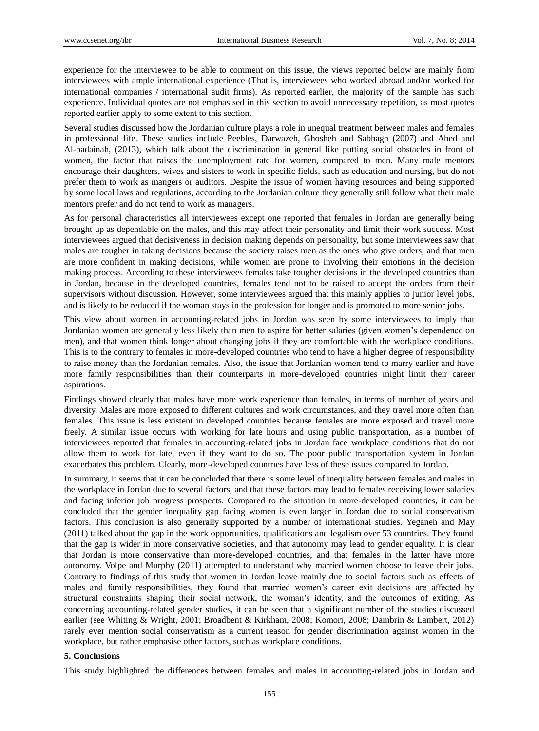experience for the interviewee to be able to comment on this issue, the views reported below are mainly from interviewees with ample international experience (That is, interviewees who worked abroad and/or worked for international companies / international audit firms). As reported earlier, the majority of the sample has such experience. Individual quotes are not emphasised in this section to avoid unnecessary repetition, as most quotes reported earlier apply to some extent to this section.

Several studies discussed how the Jordanian culture plays a role in unequal treatment between males and females in professional life. These studies include Peebles, Darwazeh, Ghosheh and Sabbagh (2007) and Abed and Al-badainah, (2013), which talk about the discrimination in general like putting social obstacles in front of women, the factor that raises the unemployment rate for women, compared to men. Many male mentors encourage their daughters, wives and sisters to work in specific fields, such as education and nursing, but do not prefer them to work as mangers or auditors. Despite the issue of women having resources and being supported by some local laws and regulations, according to the Jordanian culture they generally still follow what their male mentors prefer and do not tend to work as managers.

As for personal characteristics all interviewees except one reported that females in Jordan are generally being brought up as dependable on the males, and this may affect their personality and limit their work success. Most interviewees argued that decisiveness in decision making depends on personality, but some interviewees saw that males are tougher in taking decisions because the society raises men as the ones who give orders, and that men are more confident in making decisions, while women are prone to involving their emotions in the decision making process. According to these interviewees females take tougher decisions in the developed countries than in Jordan, because in the developed countries, females tend not to be raised to accept the orders from their supervisors without discussion. However, some interviewees argued that this mainly applies to junior level jobs, and is likely to be reduced if the woman stays in the profession for longer and is promoted to more senior jobs.

This view about women in accounting-related jobs in Jordan was seen by some interviewees to imply that Jordanian women are generally less likely than men to aspire for better salaries (given women's dependence on men), and that women think longer about changing jobs if they are comfortable with the workplace conditions. This is to the contrary to females in more-developed countries who tend to have a higher degree of responsibility to raise money than the Jordanian females. Also, the issue that Jordanian women tend to marry earlier and have more family responsibilities than their counterparts in more-developed countries might limit their career aspirations.

Findings showed clearly that males have more work experience than females, in terms of number of years and diversity. Males are more exposed to different cultures and work circumstances, and they travel more often than females. This issue is less existent in developed countries because females are more exposed and travel more freely. A similar issue occurs with working for late hours and using public transportation, as a number of interviewees reported that females in accounting-related jobs in Jordan face workplace conditions that do not allow them to work for late, even if they want to do so. The poor public transportation system in Jordan exacerbates this problem. Clearly, more-developed countries have less of these issues compared to Jordan.

In summary, it seems that it can be concluded that there is some level of inequality between females and males in the workplace in Jordan due to several factors, and that these factors may lead to females receiving lower salaries and facing inferior job progress prospects. Compared to the situation in more-developed countries, it can be concluded that the gender inequality gap facing women is even larger in Jordan due to social conservatism factors. This conclusion is also generally supported by a number of international studies. Yeganeh and May (2011) talked about the gap in the work opportunities, qualifications and legalism over 53 countries. They found that the gap is wider in more conservative societies, and that autonomy may lead to gender equality. It is clear that Jordan is more conservative than more-developed countries, and that females in the latter have more autonomy. Volpe and Murphy (2011) attempted to understand why married women choose to leave their jobs. Contrary to findings of this study that women in Jordan leave mainly due to social factors such as effects of males and family responsibilities, they found that married women's career exit decisions are affected by structural constraints shaping their social network, the woman's identity, and the outcomes of exiting. As concerning accounting-related gender studies, it can be seen that a significant number of the studies discussed earlier (see Whiting & Wright, 2001; Broadbent & Kirkham, 2008; Komori, 2008; Dambrin & Lambert, 2012) rarely ever mention social conservatism as a current reason for gender discrimination against women in the workplace, but rather emphasise other factors, such as workplace conditions.

#### **5. Conclusions**

This study highlighted the differences between females and males in accounting-related jobs in Jordan and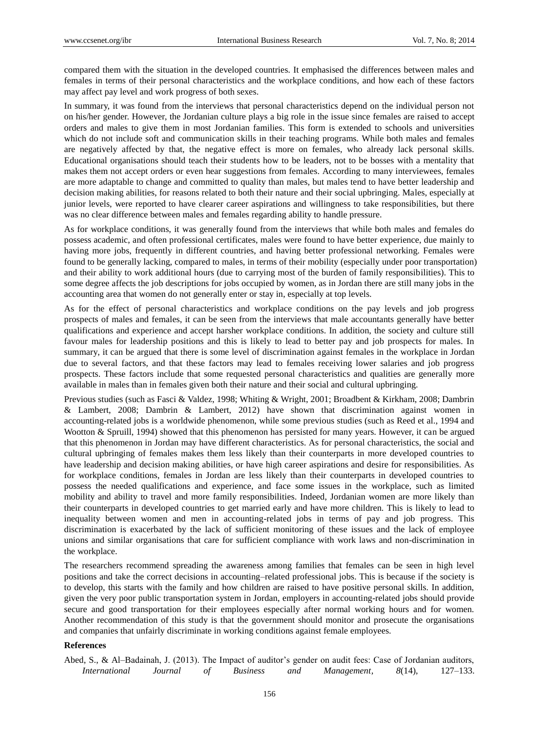compared them with the situation in the developed countries. It emphasised the differences between males and females in terms of their personal characteristics and the workplace conditions, and how each of these factors may affect pay level and work progress of both sexes.

In summary, it was found from the interviews that personal characteristics depend on the individual person not on his/her gender. However, the Jordanian culture plays a big role in the issue since females are raised to accept orders and males to give them in most Jordanian families. This form is extended to schools and universities which do not include soft and communication skills in their teaching programs. While both males and females are negatively affected by that, the negative effect is more on females, who already lack personal skills. Educational organisations should teach their students how to be leaders, not to be bosses with a mentality that makes them not accept orders or even hear suggestions from females. According to many interviewees, females are more adaptable to change and committed to quality than males, but males tend to have better leadership and decision making abilities, for reasons related to both their nature and their social upbringing. Males, especially at junior levels, were reported to have clearer career aspirations and willingness to take responsibilities, but there was no clear difference between males and females regarding ability to handle pressure.

As for workplace conditions, it was generally found from the interviews that while both males and females do possess academic, and often professional certificates, males were found to have better experience, due mainly to having more jobs, frequently in different countries, and having better professional networking. Females were found to be generally lacking, compared to males, in terms of their mobility (especially under poor transportation) and their ability to work additional hours (due to carrying most of the burden of family responsibilities). This to some degree affects the job descriptions for jobs occupied by women, as in Jordan there are still many jobs in the accounting area that women do not generally enter or stay in, especially at top levels.

As for the effect of personal characteristics and workplace conditions on the pay levels and job progress prospects of males and females, it can be seen from the interviews that male accountants generally have better qualifications and experience and accept harsher workplace conditions. In addition, the society and culture still favour males for leadership positions and this is likely to lead to better pay and job prospects for males. In summary, it can be argued that there is some level of discrimination against females in the workplace in Jordan due to several factors, and that these factors may lead to females receiving lower salaries and job progress prospects. These factors include that some requested personal characteristics and qualities are generally more available in males than in females given both their nature and their social and cultural upbringing.

Previous studies (such as Fasci & Valdez, 1998; Whiting & Wright, 2001; Broadbent & Kirkham, 2008; Dambrin & Lambert, 2008; Dambrin & Lambert, 2012) have shown that discrimination against women in accounting-related jobs is a worldwide phenomenon, while some previous studies (such as Reed et al., 1994 and Wootton & Spruill, 1994) showed that this phenomenon has persisted for many years. However, it can be argued that this phenomenon in Jordan may have different characteristics. As for personal characteristics, the social and cultural upbringing of females makes them less likely than their counterparts in more developed countries to have leadership and decision making abilities, or have high career aspirations and desire for responsibilities. As for workplace conditions, females in Jordan are less likely than their counterparts in developed countries to possess the needed qualifications and experience, and face some issues in the workplace, such as limited mobility and ability to travel and more family responsibilities. Indeed, Jordanian women are more likely than their counterparts in developed countries to get married early and have more children. This is likely to lead to inequality between women and men in accounting-related jobs in terms of pay and job progress. This discrimination is exacerbated by the lack of sufficient monitoring of these issues and the lack of employee unions and similar organisations that care for sufficient compliance with work laws and non-discrimination in the workplace.

The researchers recommend spreading the awareness among families that females can be seen in high level positions and take the correct decisions in accounting–related professional jobs. This is because if the society is to develop, this starts with the family and how children are raised to have positive personal skills. In addition, given the very poor public transportation system in Jordan, employers in accounting-related jobs should provide secure and good transportation for their employees especially after normal working hours and for women. Another recommendation of this study is that the government should monitor and prosecute the organisations and companies that unfairly discriminate in working conditions against female employees.

#### **References**

Abed, S., & Al–Badainah, J. (2013). The Impact of auditor's gender on audit fees: Case of Jordanian auditors, *International Journal of Business and Management, 8*(14), 127–133.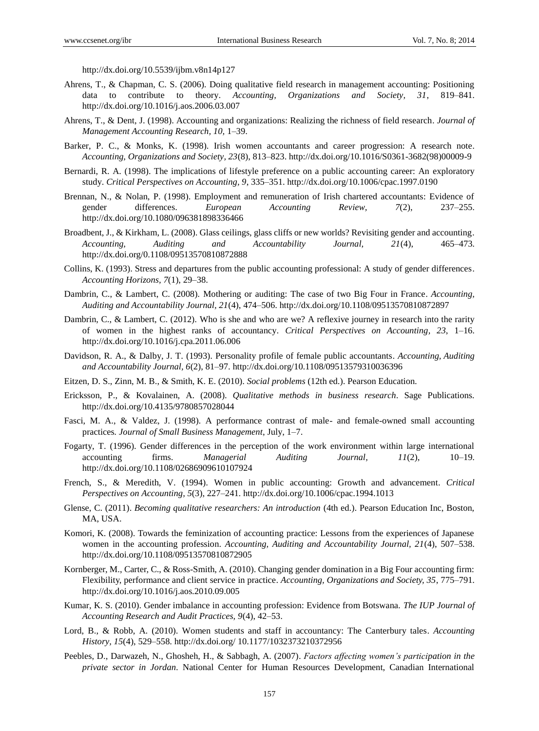http://dx.doi.org/10.5539/ijbm.v8n14p127

- Ahrens, T., & Chapman, C. S. (2006). Doing qualitative field research in management accounting: Positioning data to contribute to theory. *Accounting, Organizations and Society, 31*, 819–841. http://dx.doi.org/10.1016/j.aos.2006.03.007
- Ahrens, T., & Dent, J. (1998). Accounting and organizations: Realizing the richness of field research. *Journal of Management Accounting Research, 10,* 1–39.
- Barker, P. C., & Monks, K. (1998). Irish women accountants and career progression: A research note. *Accounting, Organizations and Society, 23*(8), 813–823. http://dx.doi.org/10.1016/S0361-3682(98)00009-9
- Bernardi, R. A. (1998). The implications of lifestyle preference on a public accounting career: An exploratory study. *Critical Perspectives on Accounting, 9*, 335–351. http://dx.doi.org/10.1006/cpac.1997.0190
- Brennan, N., & Nolan, P. (1998). Employment and remuneration of Irish chartered accountants: Evidence of gender differences. *European Accounting Review, 7*(2), 237–255. http://dx.doi.org/10.1080/096381898336466
- Broadbent, J., & Kirkham, L. (2008). Glass ceilings, glass cliffs or new worlds? Revisiting gender and accounting. *Accounting, Auditing and Accountability Journal, 21*(4), 465–473. http://dx.doi.org/0.1108/09513570810872888
- Collins, K. (1993). Stress and departures from the public accounting professional: A study of gender differences. *Accounting Horizons, 7*(1), 29–38.
- Dambrin, C., & Lambert, C. (2008). Mothering or auditing: The case of two Big Four in France. *Accounting, Auditing and Accountability Journal, 21*(4), 474–506. http://dx.doi.org/10.1108/09513570810872897
- Dambrin, C., & Lambert, C. (2012). Who is she and who are we? A reflexive journey in research into the rarity of women in the highest ranks of accountancy. *Critical Perspectives on Accounting, 23*, 1–16. http://dx.doi.org/10.1016/j.cpa.2011.06.006
- Davidson, R. A., & Dalby, J. T. (1993). Personality profile of female public accountants. *Accounting, Auditing and Accountability Journal, 6*(2), 81–97. http://dx.doi.org/10.1108/09513579310036396
- Eitzen, D. S., Zinn, M. B., & Smith, K. E. (2010). *Social problems* (12th ed.). Pearson Education.
- Ericksson, P., & Kovalainen, A. (2008). *Qualitative methods in business research*. Sage Publications. http://dx.doi.org/10.4135/9780857028044
- Fasci, M. A., & Valdez, J. (1998). A performance contrast of male- and female-owned small accounting practices*. Journal of Small Business Management*, July, 1–7.
- Fogarty, T. (1996). Gender differences in the perception of the work environment within large international accounting firms. *Managerial Auditing Journal, 11*(2), 10–19. http://dx.doi.org/10.1108/02686909610107924
- French, S., & Meredith, V. (1994). Women in public accounting: Growth and advancement. *Critical Perspectives on Accounting, 5*(3), 227–241. http://dx.doi.org/10.1006/cpac.1994.1013
- Glense, C. (2011). *Becoming qualitative researchers: An introduction* (4th ed.). Pearson Education Inc, Boston, MA, USA.
- Komori, K. (2008). Towards the feminization of accounting practice: Lessons from the experiences of Japanese women in the accounting profession. *Accounting, Auditing and Accountability Journal, 21*(4), 507–538. http://dx.doi.org/10.1108/09513570810872905
- Kornberger, M., Carter, C., & Ross-Smith, A. (2010). Changing gender domination in a Big Four accounting firm: Flexibility, performance and client service in practice. *Accounting, Organizations and Society, 35*, 775–791. http://dx.doi.org/10.1016/j.aos.2010.09.005
- Kumar, K. S. (2010). Gender imbalance in accounting profession: Evidence from Botswana. *The IUP Journal of Accounting Research and Audit Practices, 9*(4), 42–53.
- Lord, B., & Robb, A. (2010). Women students and staff in accountancy: The Canterbury tales. *Accounting History, 15*(4), 529–558. http://dx.doi.org/ 10.1177/1032373210372956
- Peebles, D., Darwazeh, N., Ghosheh, H., & Sabbagh, A. (2007). *Factors affecting women's participation in the private sector in Jordan*. National Center for Human Resources Development, Canadian International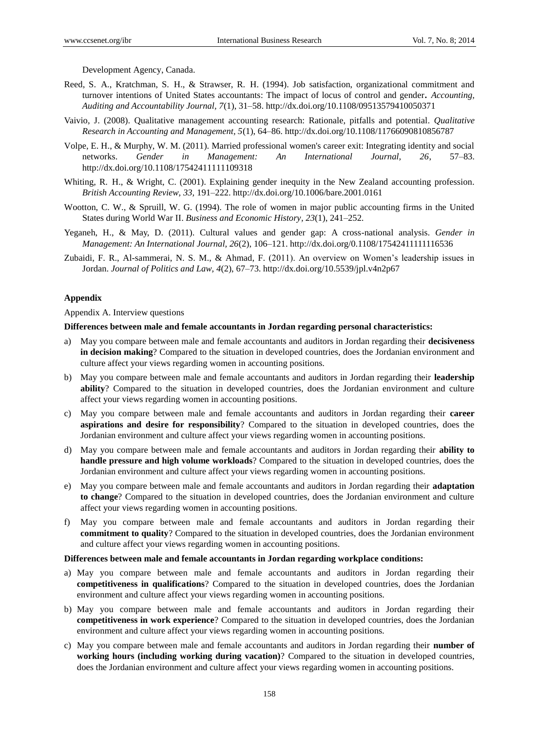Development Agency, Canada.

- Reed, S. A., Kratchman, S. H., & Strawser, R. H. (1994). Job satisfaction, organizational commitment and turnover intentions of United States accountants: The impact of locus of control and gender**.** *Accounting, Auditing and Accountability Journal, 7*(1), 31–58. http://dx.doi.org/10.1108/09513579410050371
- Vaivio, J. (2008). Qualitative management accounting research: Rationale, pitfalls and potential. *Qualitative Research in Accounting and Management, 5*(1), 64–86. http://dx.doi.org/10.1108/11766090810856787
- Volpe, E. H., & Murphy, W. M. (2011). Married professional women's career exit: Integrating identity and social networks. *Gender in Management: An International Journal, 26*, 57–83. http://dx.doi.org/10.1108/17542411111109318
- Whiting, R. H., & Wright, C. (2001). Explaining gender inequity in the New Zealand accounting profession. *British Accounting Review, 33,* 191–222. http://dx.doi.org/10.1006/bare.2001.0161
- Wootton, C. W., & Spruill, W. G. (1994). The role of women in major public accounting firms in the United States during World War II. *Business and Economic History, 23*(1), 241–252.
- Yeganeh, H., & May, D. (2011). Cultural values and gender gap: A cross-national analysis. *Gender in Management: An International Journal, 26*(2), 106–121. http://dx.doi.org/0.1108/17542411111116536
- Zubaidi, F. R., Al-sammerai, N. S. M., & Ahmad, F. (2011). An overview on Women's leadership issues in Jordan. *Journal of Politics and Law, 4*(2), 67–73. http://dx.doi.org/10.5539/jpl.v4n2p67

#### **Appendix**

Appendix A. Interview questions

#### **Differences between male and female accountants in Jordan regarding personal characteristics:**

- a) May you compare between male and female accountants and auditors in Jordan regarding their **decisiveness in decision making**? Compared to the situation in developed countries, does the Jordanian environment and culture affect your views regarding women in accounting positions.
- b) May you compare between male and female accountants and auditors in Jordan regarding their **leadership ability**? Compared to the situation in developed countries, does the Jordanian environment and culture affect your views regarding women in accounting positions.
- c) May you compare between male and female accountants and auditors in Jordan regarding their **career aspirations and desire for responsibility**? Compared to the situation in developed countries, does the Jordanian environment and culture affect your views regarding women in accounting positions.
- d) May you compare between male and female accountants and auditors in Jordan regarding their **ability to handle pressure and high volume workloads**? Compared to the situation in developed countries, does the Jordanian environment and culture affect your views regarding women in accounting positions.
- e) May you compare between male and female accountants and auditors in Jordan regarding their **adaptation to change**? Compared to the situation in developed countries, does the Jordanian environment and culture affect your views regarding women in accounting positions.
- f) May you compare between male and female accountants and auditors in Jordan regarding their **commitment to quality**? Compared to the situation in developed countries, does the Jordanian environment and culture affect your views regarding women in accounting positions.

#### **Differences between male and female accountants in Jordan regarding workplace conditions:**

- a) May you compare between male and female accountants and auditors in Jordan regarding their **competitiveness in qualifications**? Compared to the situation in developed countries, does the Jordanian environment and culture affect your views regarding women in accounting positions.
- b) May you compare between male and female accountants and auditors in Jordan regarding their **competitiveness in work experience**? Compared to the situation in developed countries, does the Jordanian environment and culture affect your views regarding women in accounting positions.
- c) May you compare between male and female accountants and auditors in Jordan regarding their **number of working hours (including working during vacation)**? Compared to the situation in developed countries, does the Jordanian environment and culture affect your views regarding women in accounting positions.